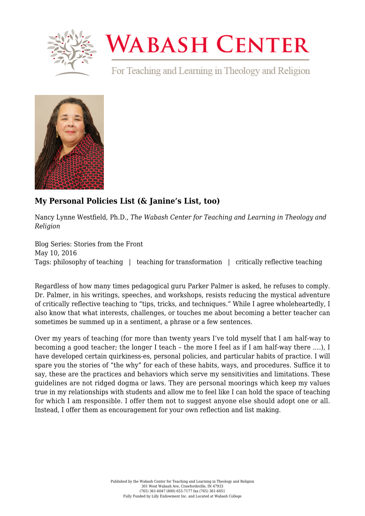

## **WABASH CENTER**

For Teaching and Learning in Theology and Religion



## **[My Personal Policies List \(& Janine's List, too\)](https://www.wabashcenter.wabash.edu/2016/05/my-personal-policies-list-janines-list-too/)**

Nancy Lynne Westfield, Ph.D., *The Wabash Center for Teaching and Learning in Theology and Religion*

Blog Series: Stories from the Front May 10, 2016 Tags: philosophy of teaching | teaching for transformation | critically reflective teaching

Regardless of how many times pedagogical guru Parker Palmer is asked, he refuses to comply. Dr. Palmer, in his writings, speeches, and workshops, resists reducing the mystical adventure of critically reflective teaching to "tips, tricks, and techniques." While I agree wholeheartedly, I also know that what interests, challenges, or touches me about becoming a better teacher can sometimes be summed up in a sentiment, a phrase or a few sentences.

Over my years of teaching (for more than twenty years I've told myself that I am half-way to becoming a good teacher; the longer I teach – the more I feel as if I am half-way there ….), I have developed certain quirkiness-es, personal policies, and particular habits of practice. I will spare you the stories of "the why" for each of these habits, ways, and procedures. Suffice it to say, these are the practices and behaviors which serve my sensitivities and limitations. These guidelines are not ridged dogma or laws. They are personal moorings which keep my values true in my relationships with students and allow me to feel like I can hold the space of teaching for which I am responsible. I offer them not to suggest anyone else should adopt one or all. Instead, I offer them as encouragement for your own reflection and list making.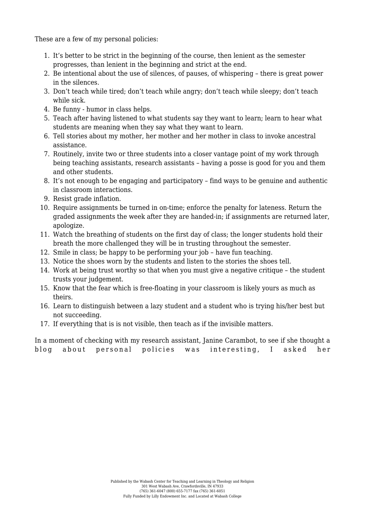These are a few of my personal policies:

- 1. It's better to be strict in the beginning of the course, then lenient as the semester progresses, than lenient in the beginning and strict at the end.
- 2. Be intentional about the use of silences, of pauses, of whispering there is great power in the silences.
- 3. Don't teach while tired; don't teach while angry; don't teach while sleepy; don't teach while sick.
- 4. Be funny humor in class helps.
- 5. Teach after having listened to what students say they want to learn; learn to hear what students are meaning when they say what they want to learn.
- 6. Tell stories about my mother, her mother and her mother in class to invoke ancestral assistance.
- 7. Routinely, invite two or three students into a closer vantage point of my work through being teaching assistants, research assistants – having a posse is good for you and them and other students.
- 8. It's not enough to be engaging and participatory find ways to be genuine and authentic in classroom interactions.
- 9. Resist grade inflation.
- 10. Require assignments be turned in on-time; enforce the penalty for lateness. Return the graded assignments the week after they are handed-in; if assignments are returned later, apologize.
- 11. Watch the breathing of students on the first day of class; the longer students hold their breath the more challenged they will be in trusting throughout the semester.
- 12. Smile in class; be happy to be performing your job have fun teaching.
- 13. Notice the shoes worn by the students and listen to the stories the shoes tell.
- 14. Work at being trust worthy so that when you must give a negative critique the student trusts your judgement.
- 15. Know that the fear which is free-floating in your classroom is likely yours as much as theirs.
- 16. Learn to distinguish between a lazy student and a student who is trying his/her best but not succeeding.
- 17. If everything that is is not visible, then teach as if the invisible matters.

In a moment of checking with my research assistant, Janine Carambot, to see if she thought a blog about personal policies was interesting, I asked her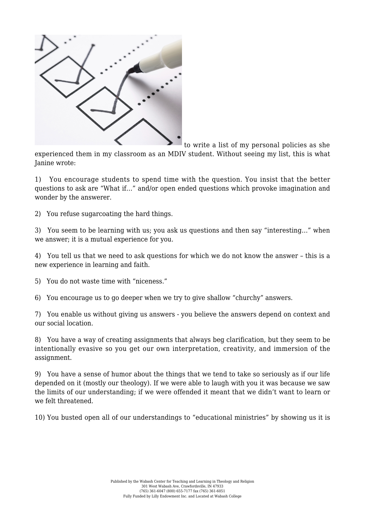

to write a list of my personal policies as she

experienced them in my classroom as an MDIV student. Without seeing my list, this is what Janine wrote:

1) You encourage students to spend time with the question. You insist that the better questions to ask are "What if…" and/or open ended questions which provoke imagination and wonder by the answerer.

2) You refuse sugarcoating the hard things.

3) You seem to be learning with us; you ask us questions and then say "interesting…" when we answer; it is a mutual experience for you.

4) You tell us that we need to ask questions for which we do not know the answer – this is a new experience in learning and faith.

5) You do not waste time with "niceness."

6) You encourage us to go deeper when we try to give shallow "churchy" answers.

7) You enable us without giving us answers - you believe the answers depend on context and our social location.

8) You have a way of creating assignments that always beg clarification, but they seem to be intentionally evasive so you get our own interpretation, creativity, and immersion of the assignment.

9) You have a sense of humor about the things that we tend to take so seriously as if our life depended on it (mostly our theology). If we were able to laugh with you it was because we saw the limits of our understanding; if we were offended it meant that we didn't want to learn or we felt threatened.

10) You busted open all of our understandings to "educational ministries" by showing us it is